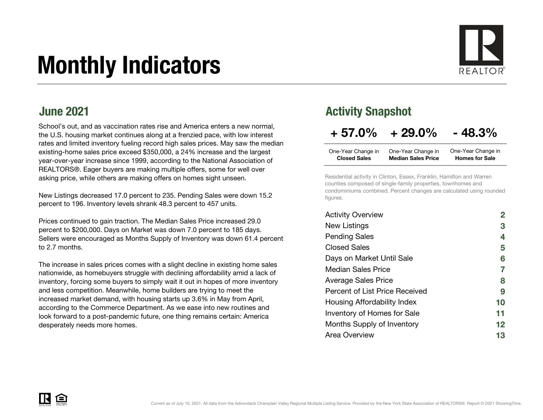# Monthly Indicators



## June 2021

School's out, and as vaccination rates rise and America enters a new normal, the U.S. housing market continues along at a frenzied pace, with low interest rates and limited inventory fueling record high sales prices. May saw the median existing-home sales price exceed \$350,000, a 24% increase and the largest year-over-year increase since 1999, according to the National Association of REALTORS®. Eager buyers are making multiple offers, some for well over asking price, while others are making offers on homes sight unseen.

New Listings decreased 17.0 percent to 235. Pending Sales were down 15.2 percent to 196. Inventory levels shrank 48.3 percent to 457 units.

Prices continued to gain traction. The Median Sales Price increased 29.0 percent to \$200,000. Days on Market was down 7.0 percent to 185 days. Sellers were encouraged as Months Supply of Inventory was down 61.4 percent to 2.7 months.

The increase in sales prices comes with a slight decline in existing home sales nationwide, as homebuyers struggle with declining affordability amid a lack of inventory, forcing some buyers to simply wait it out in hopes of more inventory and less competition. Meanwhile, home builders are trying to meet the increased market demand, with housing starts up 3.6% in May from April, according to the Commerce Department. As we ease into new routines and look forward to a post-pandemic future, one thing remains certain: America desperately needs more homes.

### Activity Snapshot

## $+ 57.0\% + 29.0\% - 48.3\%$

| One-Year Change in  | One-Year Change in        | One-Year Change in    |
|---------------------|---------------------------|-----------------------|
| <b>Closed Sales</b> | <b>Median Sales Price</b> | <b>Homes for Sale</b> |

Residential activity in Clinton, Essex, Franklin, Hamilton and Warren counties composed of single-family properties, townhomes and condominiums combined. Percent changes are calculated using rounded figures.

| <b>Activity Overview</b>       |    |
|--------------------------------|----|
| New Listings                   | З  |
| <b>Pending Sales</b>           | 4  |
| <b>Closed Sales</b>            | 5  |
| Days on Market Until Sale      | 6  |
| Median Sales Price             | 7  |
| <b>Average Sales Price</b>     | 8  |
| Percent of List Price Received | 9  |
| Housing Affordability Index    | 10 |
| Inventory of Homes for Sale    | 11 |
| Months Supply of Inventory     | 12 |
| Area Overview                  | 13 |

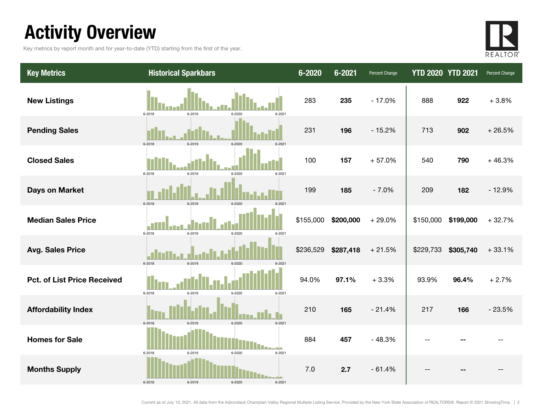## Activity Overview

Key metrics by report month and for year-to-date (YTD) starting from the first of the year.



| <b>Key Metrics</b>                 | <b>Historical Sparkbars</b>              | 6-2020    | 6-2021    | Percent Change | <b>YTD 2020 YTD 2021</b> |           | Percent Change |
|------------------------------------|------------------------------------------|-----------|-----------|----------------|--------------------------|-----------|----------------|
| <b>New Listings</b>                | 6-2018<br>6-2019<br>6-2020<br>$6 - 2021$ | 283       | 235       | $-17.0%$       | 888                      | 922       | $+3.8%$        |
| <b>Pending Sales</b>               | 6-2019<br>6-2018<br>6-2020               | 231       | 196       | $-15.2%$       | 713                      | 902       | $+26.5%$       |
| <b>Closed Sales</b>                | 6-2019<br>6-2021<br>6-2018<br>6-2020     | 100       | 157       | $+57.0%$       | 540                      | 790       | $+46.3%$       |
| <b>Days on Market</b>              | 6-2018<br>6-2019<br>6-2020<br>$6-202$    | 199       | 185       | $-7.0%$        | 209                      | 182       | $-12.9%$       |
| <b>Median Sales Price</b>          | 6-2018<br>6-2019<br>6-2020<br>6-2021     | \$155,000 | \$200,000 | $+29.0%$       | \$150,000                | \$199,000 | $+32.7%$       |
| <b>Avg. Sales Price</b>            | 6-2019<br>6-2018<br>6-2020<br>$6 - 202$  | \$236,529 | \$287,418 | $+21.5%$       | \$229,733                | \$305,740 | $+33.1%$       |
| <b>Pct. of List Price Received</b> | 6-2018<br>6-2019<br>6-2020<br>6-2021     | 94.0%     | 97.1%     | $+3.3%$        | 93.9%                    | 96.4%     | $+2.7%$        |
| <b>Affordability Index</b>         | 6-2019<br>6-2020<br>6-2018<br>$6 - 2021$ | 210       | 165       | $-21.4%$       | 217                      | 166       | $-23.5%$       |
| <b>Homes for Sale</b>              | 6-2018<br>6-2019<br>6-2021<br>6-2020     | 884       | 457       | $-48.3%$       |                          |           |                |
| <b>Months Supply</b>               | 6-2018<br>6-2019<br>6-2020<br>6-2021     | 7.0       | 2.7       | $-61.4%$       |                          |           |                |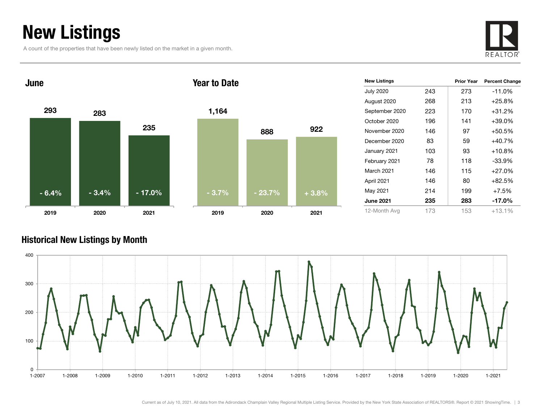## New Listings

A count of the properties that have been newly listed on the market in a given month.





| <b>New Listings</b> |     | <b>Prior Year</b> | <b>Percent Change</b> |
|---------------------|-----|-------------------|-----------------------|
| <b>July 2020</b>    | 243 | 273               | $-11.0%$              |
| August 2020         | 268 | 213               | $+25.8%$              |
| September 2020      | 223 | 170               | $+31.2%$              |
| October 2020        | 196 | 141               | $+39.0%$              |
| November 2020       | 146 | 97                | $+50.5%$              |
| December 2020       | 83  | 59                | +40.7%                |
| January 2021        | 103 | 93                | $+10.8%$              |
| February 2021       | 78  | 118               | $-33.9%$              |
| March 2021          | 146 | 115               | $+27.0%$              |
| April 2021          | 146 | 80                | $+82.5%$              |
| May 2021            | 214 | 199               | $+7.5%$               |
| <b>June 2021</b>    | 235 | 283               | -17.0%                |
| 12-Month Avg        | 173 | 153               | $+13.1%$              |

### Historical New Listings by Month



<sup>922</sup>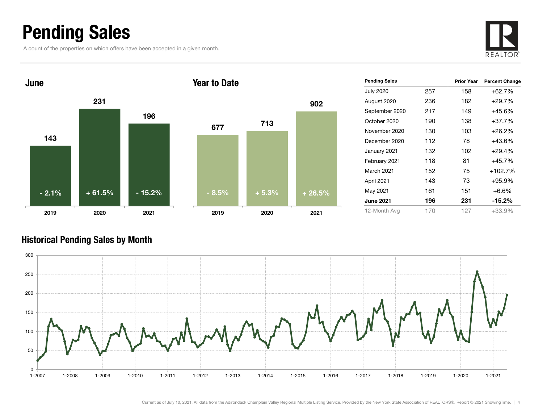## Pending Sales

A count of the properties on which offers have been accepted in a given month.





| <b>Pending Sales</b> |     | <b>Prior Year</b> | <b>Percent Change</b> |
|----------------------|-----|-------------------|-----------------------|
| <b>July 2020</b>     | 257 | 158               | +62.7%                |
| August 2020          | 236 | 182               | $+29.7%$              |
| September 2020       | 217 | 149               | +45.6%                |
| October 2020         | 190 | 138               | $+37.7%$              |
| November 2020        | 130 | 103               | +26.2%                |
| December 2020        | 112 | 78                | +43.6%                |
| January 2021         | 132 | 102               | $+29.4%$              |
| February 2021        | 118 | 81                | $+45.7%$              |
| <b>March 2021</b>    | 152 | 75                | $+102.7%$             |
| April 2021           | 143 | 73                | +95.9%                |
| May 2021             | 161 | 151               | +6.6%                 |
| <b>June 2021</b>     | 196 | 231               | -15.2%                |
| 12-Month Avg         | 170 | 127               | $+33.9\%$             |

### Historical Pending Sales by Month

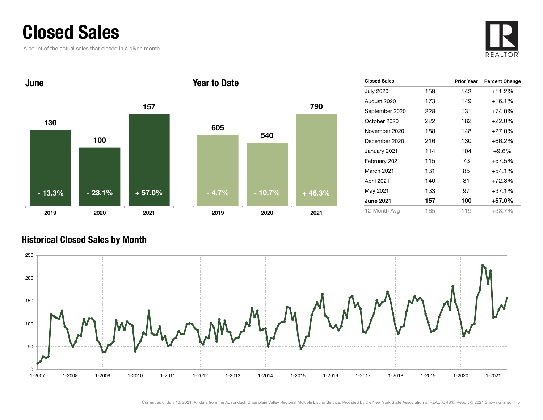## Closed Sales

A count of the actual sales that closed in a given month.





| <b>Closed Sales</b> |     | Prior Year | <b>Percent Change</b> |
|---------------------|-----|------------|-----------------------|
| <b>July 2020</b>    | 159 | 143        | $+11.2%$              |
| August 2020         | 173 | 149        | $+16.1%$              |
| September 2020      | 228 | 131        | +74.0%                |
| October 2020        | 222 | 182        | $+22.0%$              |
| November 2020       | 188 | 148        | $+27.0%$              |
| December 2020       | 216 | 130        | $+66.2%$              |
| January 2021        | 114 | 104        | $+9.6\%$              |
| February 2021       | 115 | 73         | $+57.5%$              |
| March 2021          | 131 | 85         | $+54.1%$              |
| April 2021          | 140 | 81         | $+72.8%$              |
| May 2021            | 133 | 97         | $+37.1%$              |
| <b>June 2021</b>    | 157 | 100        | +57.0%                |
| 12-Month Avg        | 165 | 119        | +38.7%                |

### Historical Closed Sales by Month

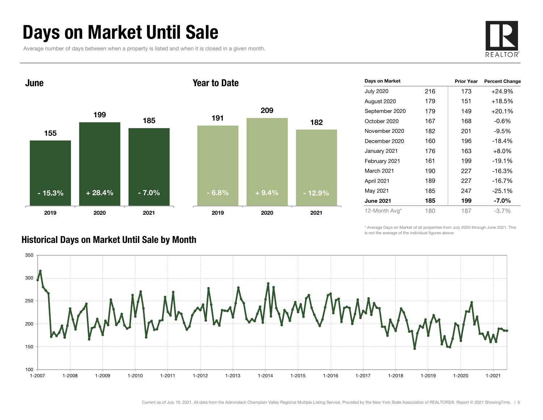## Days on Market Until Sale

Average number of days between when a property is listed and when it is closed in a given month.





| Days on Market   |     | <b>Prior Year</b> | <b>Percent Change</b> |
|------------------|-----|-------------------|-----------------------|
| <b>July 2020</b> | 216 | 173               | $+24.9%$              |
| August 2020      | 179 | 151               | +18.5%                |
| September 2020   | 179 | 149               | $+20.1%$              |
| October 2020     | 167 | 168               | $-0.6%$               |
| November 2020    | 182 | 201               | -9.5%                 |
| December 2020    | 160 | 196               | $-18.4%$              |
| January 2021     | 176 | 163               | $+8.0%$               |
| February 2021    | 161 | 199               | $-19.1%$              |
| March 2021       | 190 | 227               | $-16.3%$              |
| April 2021       | 189 | 227               | $-16.7%$              |
| May 2021         | 185 | 247               | $-25.1%$              |
| <b>June 2021</b> | 185 | 199               | $-7.0\%$              |
| 12-Month Avg*    | 180 | 187               | $-3.7\%$              |

\* Average Days on Market of all properties from July 2020 through June 2021. This is not the average of the individual figures above.



### Historical Days on Market Until Sale by Month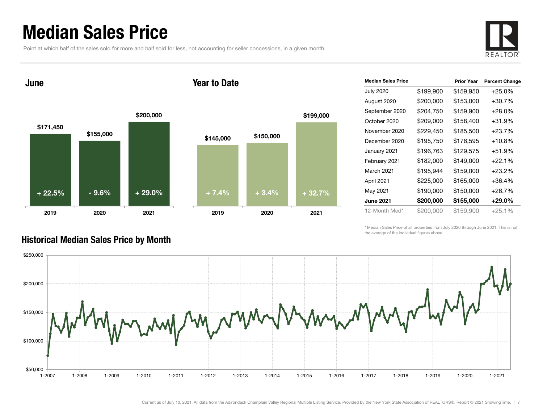## Median Sales Price

Point at which half of the sales sold for more and half sold for less, not accounting for seller concessions, in a given month.



June

#### Year to Date



| <b>Median Sales Price</b> |           | <b>Prior Year</b> | <b>Percent Change</b> |
|---------------------------|-----------|-------------------|-----------------------|
| <b>July 2020</b>          | \$199,900 | \$159,950         | $+25.0%$              |
| August 2020               | \$200,000 | \$153,000         | $+30.7%$              |
| September 2020            | \$204,750 | \$159,900         | $+28.0%$              |
| October 2020              | \$209,000 | \$158,400         | $+31.9%$              |
| November 2020             | \$229,450 | \$185,500         | $+23.7%$              |
| December 2020             | \$195,750 | \$176,595         | $+10.8%$              |
| January 2021              | \$196,763 | \$129,575         | $+51.9%$              |
| February 2021             | \$182,000 | \$149,000         | $+22.1%$              |
| March 2021                | \$195,944 | \$159,000         | $+23.2%$              |
| April 2021                | \$225,000 | \$165,000         | $+36.4%$              |
| May 2021                  | \$190,000 | \$150,000         | $+26.7\%$             |
| <b>June 2021</b>          | \$200,000 | \$155,000         | +29.0%                |
| 12-Month Med*             | \$200,000 | \$159,900         | $+25.1%$              |

\* Median Sales Price of all properties from July 2020 through June 2021. This is not the average of the individual figures above.

![](_page_6_Figure_8.jpeg)

### Historical Median Sales Price by Month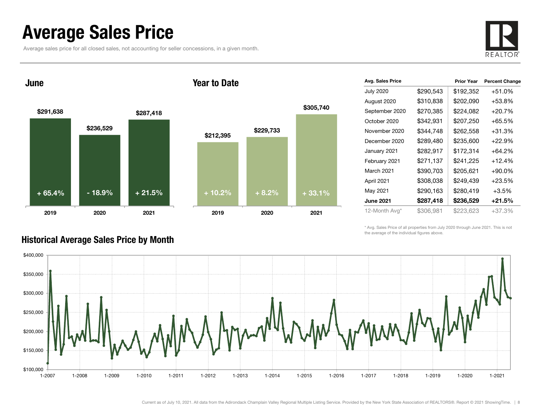## Average Sales Price

Average sales price for all closed sales, not accounting for seller concessions, in a given month.

![](_page_7_Picture_2.jpeg)

June

![](_page_7_Figure_4.jpeg)

![](_page_7_Figure_5.jpeg)

|           | <b>Prior Year</b> | <b>Percent Change</b> |
|-----------|-------------------|-----------------------|
| \$290,543 | \$192,352         | $+51.0%$              |
| \$310,838 | \$202,090         | +53.8%                |
| \$270,385 | \$224,082         | $+20.7%$              |
| \$342,931 | \$207,250         | +65.5%                |
| \$344,748 | \$262,558         | $+31.3%$              |
| \$289,480 | \$235,600         | +22.9%                |
| \$282,917 | \$172,314         | $+64.2%$              |
| \$271,137 | \$241,225         | $+12.4%$              |
| \$390,703 | \$205,621         | $+90.0\%$             |
| \$308,038 | \$249,439         | $+23.5%$              |
| \$290,163 | \$280,419         | $+3.5%$               |
| \$287,418 | \$236,529         | +21.5%                |
| \$306,981 | \$223,623         | +37.3%                |
|           |                   |                       |

\* Avg. Sales Price of all properties from July 2020 through June 2021. This is not the average of the individual figures above.

![](_page_7_Figure_8.jpeg)

### Historical Average Sales Price by Month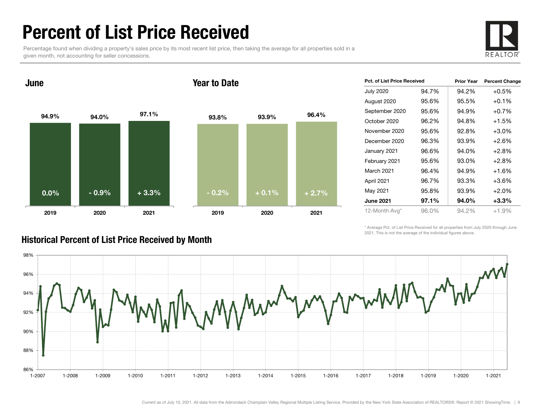## Percent of List Price Received

Percentage found when dividing a property's sales price by its most recent list price, then taking the average for all properties sold in a given month, not accounting for seller concessions.

![](_page_8_Picture_2.jpeg)

94.9% 94.0% 97.1% 2019 2020 2021 June93.8% 93.9% 96.4% 2019 2020 2021 Year to Date0.0% $\%$  - 0.9% + 3.3% - 0.2% + 0.1% + 2.7%

| <b>Pct. of List Price Received</b> |       | <b>Prior Year</b> | <b>Percent Change</b> |  |
|------------------------------------|-------|-------------------|-----------------------|--|
| <b>July 2020</b>                   | 94.7% | 94.2%             | $+0.5%$               |  |
| August 2020                        | 95.6% | 95.5%             | $+0.1%$               |  |
| September 2020                     | 95.6% | 94.9%             | $+0.7%$               |  |
| October 2020                       | 96.2% | 94.8%             | $+1.5%$               |  |
| November 2020                      | 95.6% | 92.8%             | $+3.0%$               |  |
| December 2020                      | 96.3% | 93.9%             | $+2.6%$               |  |
| January 2021                       | 96.6% | 94.0%             | $+2.8%$               |  |
| February 2021                      | 95.6% | 93.0%             | $+2.8%$               |  |
| March 2021                         | 96.4% | 94.9%             | $+1.6%$               |  |
| April 2021                         | 96.7% | 93.3%             | $+3.6%$               |  |
| May 2021                           | 95.8% | 93.9%             | $+2.0%$               |  |
| <b>June 2021</b>                   | 97.1% | 94.0%             | $+3.3%$               |  |
| 12-Month Avg*                      | 96.0% | 94.2%             | $+1.9%$               |  |

\* Average Pct. of List Price Received for all properties from July 2020 through June 2021. This is not the average of the individual figures above.

![](_page_8_Figure_6.jpeg)

### Historical Percent of List Price Received by Month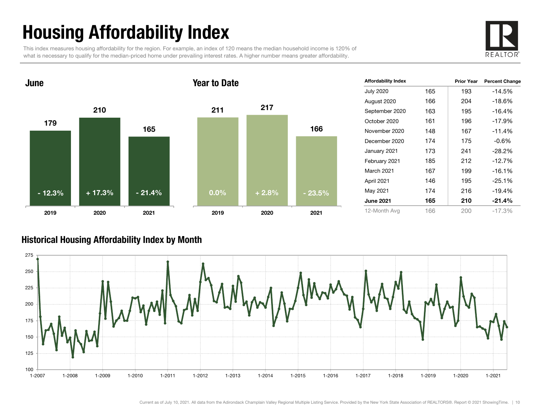# Housing Affordability Index

This index measures housing affordability for the region. For example, an index of 120 means the median household income is 120% of what is necessary to qualify for the median-priced home under prevailing interest rates. A higher number means greater affordability.

![](_page_9_Picture_2.jpeg)

![](_page_9_Figure_3.jpeg)

| <b>Affordability Index</b> |     | <b>Prior Year</b> | <b>Percent Change</b> |
|----------------------------|-----|-------------------|-----------------------|
| <b>July 2020</b>           | 165 | 193               | -14.5%                |
| August 2020                | 166 | 204               | $-18.6%$              |
| September 2020             | 163 | 195               | $-16.4%$              |
| October 2020               | 161 | 196               | $-17.9%$              |
| November 2020              | 148 | 167               | $-11.4%$              |
| December 2020              | 174 | 175               | $-0.6\%$              |
| January 2021               | 173 | 241               | -28.2%                |
| February 2021              | 185 | 212               | $-12.7%$              |
| March 2021                 | 167 | 199               | $-16.1%$              |
| April 2021                 | 146 | 195               | $-25.1%$              |
| May 2021                   | 174 | 216               | -19.4%                |
| <b>June 2021</b>           | 165 | 210               | $-21.4%$              |
| 12-Month Avg               | 166 | 200               | $-17.3%$              |

### Historical Housing Affordability Index by Mont h

![](_page_9_Figure_6.jpeg)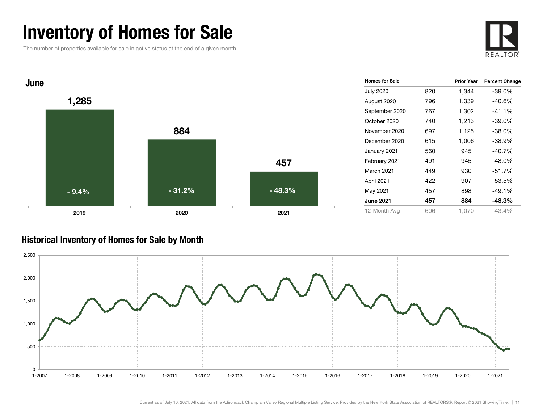## Inventory of Homes for Sale

The number of properties available for sale in active status at the end of a given month.

![](_page_10_Picture_2.jpeg)

![](_page_10_Figure_3.jpeg)

### Historical Inventory of Homes for Sale by Month

![](_page_10_Figure_5.jpeg)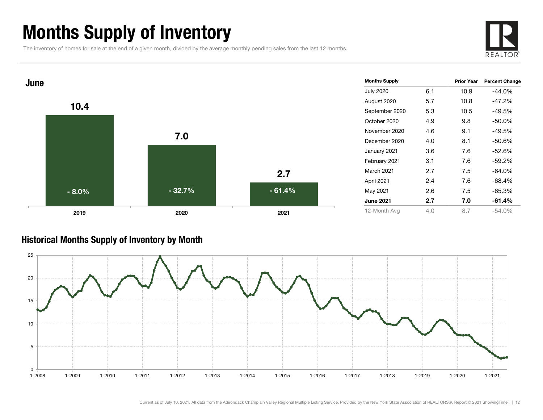## Months Supply of Inventory

The inventory of homes for sale at the end of a given month, divided by the average monthly pending sales from the last 12 months.

![](_page_11_Picture_2.jpeg)

![](_page_11_Figure_3.jpeg)

### Historical Months Supply of Inventory by Month

![](_page_11_Figure_5.jpeg)